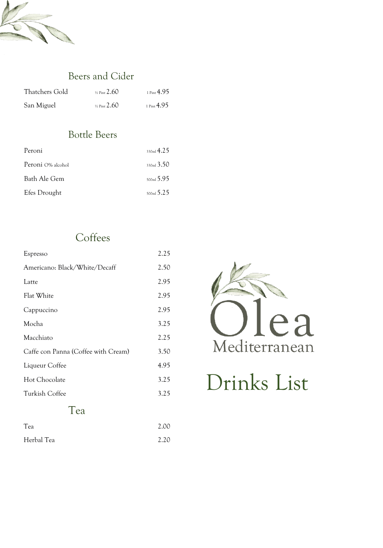

### Beers and Cider

| Thatchers Gold | $\frac{1}{2}$ Pint 2.60 | 1 Pint $4.95$ |
|----------------|-------------------------|---------------|
| San Miguel     | $\frac{1}{2}$ Pint 2.60 | 1 Pint $4.95$ |

# Bottle Beers

| Peroni            | 330m14.25                |
|-------------------|--------------------------|
| Peroni O% alcohol | 330 <sub>ml</sub> 3.50   |
| Bath Ale Gem      | $_{500ml} 5.95$          |
| Efes Drought      | $_{500\,\text{ml}} 5.25$ |

# **Coffees**

| Espresso                            | 2.25 |
|-------------------------------------|------|
| Americano: Black/White/Decaff       | 2.50 |
| Latte                               | 2.95 |
| Flat White                          | 2.95 |
| Cappuccino                          | 2.95 |
| Mocha                               | 3.25 |
| Macchiato                           | 2.25 |
| Caffe con Panna (Coffee with Cream) | 3.50 |
| Liqueur Coffee                      | 4.95 |
| Hot Chocolate                       | 3.25 |
| Turkish Coffee                      | 3.25 |
| $\alpha$                            |      |



# Drinks List

#### 1 ea

| Tea        | 2.00 |
|------------|------|
| Herbal Tea | 2.20 |